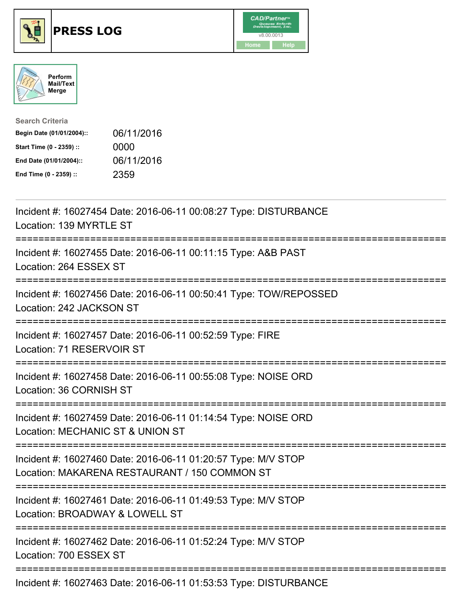





| <b>Search Criteria</b>    |            |
|---------------------------|------------|
| Begin Date (01/01/2004):: | 06/11/2016 |
| Start Time (0 - 2359) ::  | 0000       |
| End Date (01/01/2004)::   | 06/11/2016 |
| End Time (0 - 2359) ::    | 2359       |

| Incident #: 16027454 Date: 2016-06-11 00:08:27 Type: DISTURBANCE<br>Location: 139 MYRTLE ST                                                    |
|------------------------------------------------------------------------------------------------------------------------------------------------|
| ==============<br>Incident #: 16027455 Date: 2016-06-11 00:11:15 Type: A&B PAST<br>Location: 264 ESSEX ST                                      |
| Incident #: 16027456 Date: 2016-06-11 00:50:41 Type: TOW/REPOSSED<br>Location: 242 JACKSON ST                                                  |
| Incident #: 16027457 Date: 2016-06-11 00:52:59 Type: FIRE<br>Location: 71 RESERVOIR ST                                                         |
| Incident #: 16027458 Date: 2016-06-11 00:55:08 Type: NOISE ORD<br>Location: 36 CORNISH ST                                                      |
| Incident #: 16027459 Date: 2016-06-11 01:14:54 Type: NOISE ORD<br>Location: MECHANIC ST & UNION ST                                             |
| Incident #: 16027460 Date: 2016-06-11 01:20:57 Type: M/V STOP<br>Location: MAKARENA RESTAURANT / 150 COMMON ST                                 |
| Incident #: 16027461 Date: 2016-06-11 01:49:53 Type: M/V STOP<br>Location: BROADWAY & LOWELL ST<br>;==========================<br>------------ |
| Incident #: 16027462 Date: 2016-06-11 01:52:24 Type: M/V STOP<br>Location: 700 ESSEX ST                                                        |
| Incident #: 16027463 Date: 2016-06-11 01:53:53 Type: DISTURBANCE                                                                               |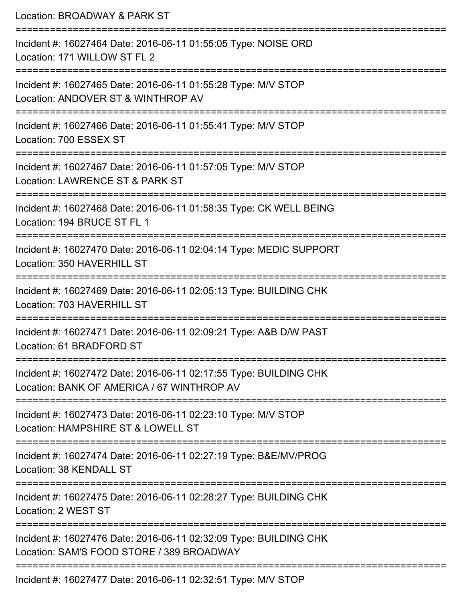| Location: BROADWAY & PARK ST                                                                                                |
|-----------------------------------------------------------------------------------------------------------------------------|
| Incident #: 16027464 Date: 2016-06-11 01:55:05 Type: NOISE ORD<br>Location: 171 WILLOW ST FL 2                              |
| Incident #: 16027465 Date: 2016-06-11 01:55:28 Type: M/V STOP<br>Location: ANDOVER ST & WINTHROP AV                         |
| Incident #: 16027466 Date: 2016-06-11 01:55:41 Type: M/V STOP<br>Location: 700 ESSEX ST                                     |
| Incident #: 16027467 Date: 2016-06-11 01:57:05 Type: M/V STOP<br>Location: LAWRENCE ST & PARK ST                            |
| Incident #: 16027468 Date: 2016-06-11 01:58:35 Type: CK WELL BEING<br>Location: 194 BRUCE ST FL 1                           |
| Incident #: 16027470 Date: 2016-06-11 02:04:14 Type: MEDIC SUPPORT<br>Location: 350 HAVERHILL ST<br>======================= |
| Incident #: 16027469 Date: 2016-06-11 02:05:13 Type: BUILDING CHK<br>Location: 703 HAVERHILL ST                             |
| Incident #: 16027471 Date: 2016-06-11 02:09:21 Type: A&B D/W PAST<br>Location: 61 BRADFORD ST                               |
| Incident #: 16027472 Date: 2016-06-11 02:17:55 Type: BUILDING CHK<br>Location: BANK OF AMERICA / 67 WINTHROP AV             |
| Incident #: 16027473 Date: 2016-06-11 02:23:10 Type: M/V STOP<br>Location: HAMPSHIRE ST & LOWELL ST                         |
| Incident #: 16027474 Date: 2016-06-11 02:27:19 Type: B&E/MV/PROG<br>Location: 38 KENDALL ST                                 |
| Incident #: 16027475 Date: 2016-06-11 02:28:27 Type: BUILDING CHK<br>Location: 2 WEST ST                                    |
| Incident #: 16027476 Date: 2016-06-11 02:32:09 Type: BUILDING CHK<br>Location: SAM'S FOOD STORE / 389 BROADWAY              |
| Incident #: 16027477 Date: 2016-06-11 02:32:51 Type: M/V STOP                                                               |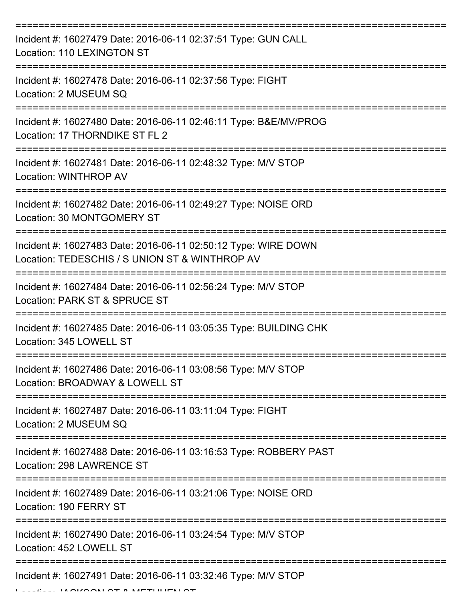| Incident #: 16027479 Date: 2016-06-11 02:37:51 Type: GUN CALL<br>Location: 110 LEXINGTON ST                      |
|------------------------------------------------------------------------------------------------------------------|
| Incident #: 16027478 Date: 2016-06-11 02:37:56 Type: FIGHT<br>Location: 2 MUSEUM SQ                              |
| Incident #: 16027480 Date: 2016-06-11 02:46:11 Type: B&E/MV/PROG<br>Location: 17 THORNDIKE ST FL 2               |
| Incident #: 16027481 Date: 2016-06-11 02:48:32 Type: M/V STOP<br>Location: WINTHROP AV                           |
| Incident #: 16027482 Date: 2016-06-11 02:49:27 Type: NOISE ORD<br>Location: 30 MONTGOMERY ST                     |
| Incident #: 16027483 Date: 2016-06-11 02:50:12 Type: WIRE DOWN<br>Location: TEDESCHIS / S UNION ST & WINTHROP AV |
| Incident #: 16027484 Date: 2016-06-11 02:56:24 Type: M/V STOP<br>Location: PARK ST & SPRUCE ST                   |
| Incident #: 16027485 Date: 2016-06-11 03:05:35 Type: BUILDING CHK<br>Location: 345 LOWELL ST                     |
| Incident #: 16027486 Date: 2016-06-11 03:08:56 Type: M/V STOP<br>Location: BROADWAY & LOWELL ST                  |
| Incident #: 16027487 Date: 2016-06-11 03:11:04 Type: FIGHT<br>Location: 2 MUSEUM SQ                              |
| Incident #: 16027488 Date: 2016-06-11 03:16:53 Type: ROBBERY PAST<br>Location: 298 LAWRENCE ST                   |
| Incident #: 16027489 Date: 2016-06-11 03:21:06 Type: NOISE ORD<br>Location: 190 FERRY ST                         |
| Incident #: 16027490 Date: 2016-06-11 03:24:54 Type: M/V STOP<br>Location: 452 LOWELL ST                         |
| Incident #: 16027491 Date: 2016-06-11 03:32:46 Type: M/V STOP                                                    |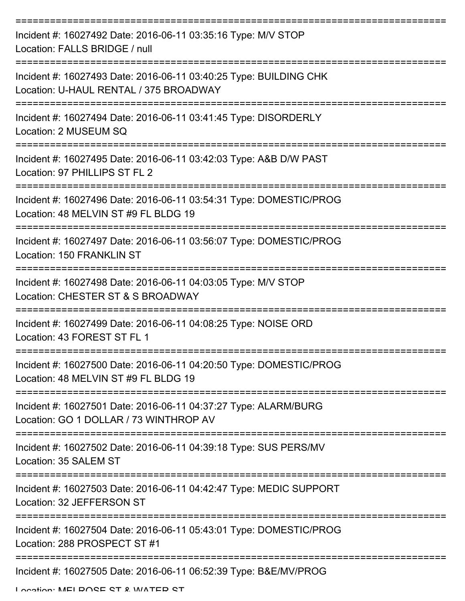| Incident #: 16027492 Date: 2016-06-11 03:35:16 Type: M/V STOP<br>Location: FALLS BRIDGE / null              |
|-------------------------------------------------------------------------------------------------------------|
| Incident #: 16027493 Date: 2016-06-11 03:40:25 Type: BUILDING CHK<br>Location: U-HAUL RENTAL / 375 BROADWAY |
| Incident #: 16027494 Date: 2016-06-11 03:41:45 Type: DISORDERLY<br>Location: 2 MUSEUM SQ                    |
| Incident #: 16027495 Date: 2016-06-11 03:42:03 Type: A&B D/W PAST<br>Location: 97 PHILLIPS ST FL 2          |
| Incident #: 16027496 Date: 2016-06-11 03:54:31 Type: DOMESTIC/PROG<br>Location: 48 MELVIN ST #9 FL BLDG 19  |
| Incident #: 16027497 Date: 2016-06-11 03:56:07 Type: DOMESTIC/PROG<br>Location: 150 FRANKLIN ST             |
| Incident #: 16027498 Date: 2016-06-11 04:03:05 Type: M/V STOP<br>Location: CHESTER ST & S BROADWAY          |
| Incident #: 16027499 Date: 2016-06-11 04:08:25 Type: NOISE ORD<br>Location: 43 FOREST ST FL 1               |
| Incident #: 16027500 Date: 2016-06-11 04:20:50 Type: DOMESTIC/PROG<br>Location: 48 MELVIN ST #9 FL BLDG 19  |
| Incident #: 16027501 Date: 2016-06-11 04:37:27 Type: ALARM/BURG<br>Location: GO 1 DOLLAR / 73 WINTHROP AV   |
| Incident #: 16027502 Date: 2016-06-11 04:39:18 Type: SUS PERS/MV<br>Location: 35 SALEM ST                   |
| Incident #: 16027503 Date: 2016-06-11 04:42:47 Type: MEDIC SUPPORT<br>Location: 32 JEFFERSON ST             |
| Incident #: 16027504 Date: 2016-06-11 05:43:01 Type: DOMESTIC/PROG<br>Location: 288 PROSPECT ST #1          |
| Incident #: 16027505 Date: 2016-06-11 06:52:39 Type: B&E/MV/PROG                                            |

Location: MELDOCE CT & WATED CT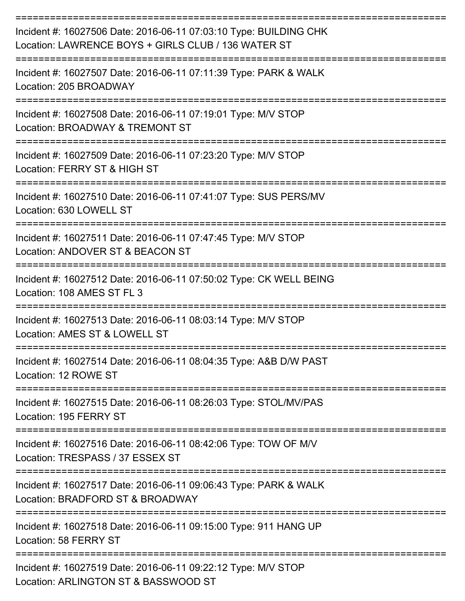| Incident #: 16027506 Date: 2016-06-11 07:03:10 Type: BUILDING CHK<br>Location: LAWRENCE BOYS + GIRLS CLUB / 136 WATER ST |
|--------------------------------------------------------------------------------------------------------------------------|
| Incident #: 16027507 Date: 2016-06-11 07:11:39 Type: PARK & WALK<br>Location: 205 BROADWAY                               |
| Incident #: 16027508 Date: 2016-06-11 07:19:01 Type: M/V STOP<br>Location: BROADWAY & TREMONT ST                         |
| Incident #: 16027509 Date: 2016-06-11 07:23:20 Type: M/V STOP<br>Location: FERRY ST & HIGH ST                            |
| Incident #: 16027510 Date: 2016-06-11 07:41:07 Type: SUS PERS/MV<br>Location: 630 LOWELL ST                              |
| Incident #: 16027511 Date: 2016-06-11 07:47:45 Type: M/V STOP<br>Location: ANDOVER ST & BEACON ST                        |
| Incident #: 16027512 Date: 2016-06-11 07:50:02 Type: CK WELL BEING<br>Location: 108 AMES ST FL 3                         |
| Incident #: 16027513 Date: 2016-06-11 08:03:14 Type: M/V STOP<br>Location: AMES ST & LOWELL ST                           |
| Incident #: 16027514 Date: 2016-06-11 08:04:35 Type: A&B D/W PAST<br>Location: 12 ROWE ST                                |
| =================<br>Incident #: 16027515 Date: 2016-06-11 08:26:03 Type: STOL/MV/PAS<br>Location: 195 FERRY ST          |
| Incident #: 16027516 Date: 2016-06-11 08:42:06 Type: TOW OF M/V<br>Location: TRESPASS / 37 ESSEX ST                      |
| Incident #: 16027517 Date: 2016-06-11 09:06:43 Type: PARK & WALK<br>Location: BRADFORD ST & BROADWAY                     |
| Incident #: 16027518 Date: 2016-06-11 09:15:00 Type: 911 HANG UP<br>Location: 58 FERRY ST                                |
| Incident #: 16027519 Date: 2016-06-11 09:22:12 Type: M/V STOP<br>Location: ARLINGTON ST & BASSWOOD ST                    |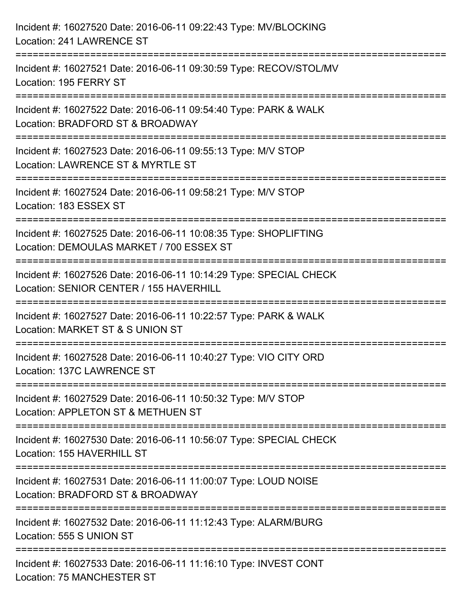| Incident #: 16027520 Date: 2016-06-11 09:22:43 Type: MV/BLOCKING<br>Location: 241 LAWRENCE ST                                                                  |
|----------------------------------------------------------------------------------------------------------------------------------------------------------------|
| ====================================<br>======================<br>Incident #: 16027521 Date: 2016-06-11 09:30:59 Type: RECOV/STOL/MV<br>Location: 195 FERRY ST |
| ==================<br>Incident #: 16027522 Date: 2016-06-11 09:54:40 Type: PARK & WALK<br>Location: BRADFORD ST & BROADWAY                                     |
| Incident #: 16027523 Date: 2016-06-11 09:55:13 Type: M/V STOP<br>Location: LAWRENCE ST & MYRTLE ST                                                             |
| Incident #: 16027524 Date: 2016-06-11 09:58:21 Type: M/V STOP<br>Location: 183 ESSEX ST                                                                        |
| Incident #: 16027525 Date: 2016-06-11 10:08:35 Type: SHOPLIFTING<br>Location: DEMOULAS MARKET / 700 ESSEX ST                                                   |
| ;==================<br>Incident #: 16027526 Date: 2016-06-11 10:14:29 Type: SPECIAL CHECK<br>Location: SENIOR CENTER / 155 HAVERHILL                           |
| Incident #: 16027527 Date: 2016-06-11 10:22:57 Type: PARK & WALK<br>Location: MARKET ST & S UNION ST                                                           |
| Incident #: 16027528 Date: 2016-06-11 10:40:27 Type: VIO CITY ORD<br>Location: 137C LAWRENCE ST                                                                |
| Incident #: 16027529 Date: 2016-06-11 10:50:32 Type: M/V STOP<br>Location: APPLETON ST & METHUEN ST                                                            |
| Incident #: 16027530 Date: 2016-06-11 10:56:07 Type: SPECIAL CHECK<br>Location: 155 HAVERHILL ST                                                               |
| Incident #: 16027531 Date: 2016-06-11 11:00:07 Type: LOUD NOISE<br>Location: BRADFORD ST & BROADWAY                                                            |
| Incident #: 16027532 Date: 2016-06-11 11:12:43 Type: ALARM/BURG<br>Location: 555 S UNION ST                                                                    |
| Incident #: 16027533 Date: 2016-06-11 11:16:10 Type: INVEST CONT<br><b>Location: 75 MANCHESTER ST</b>                                                          |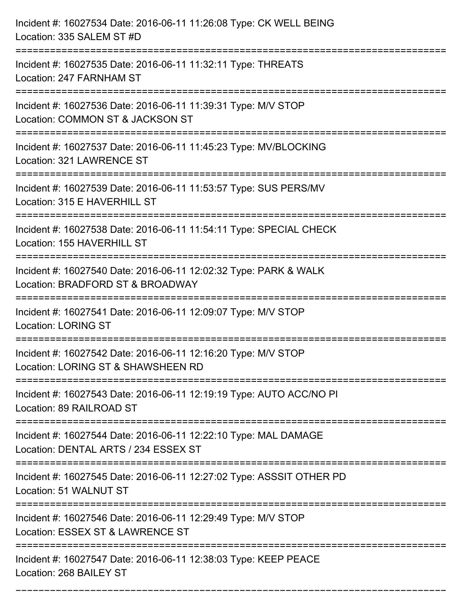| Incident #: 16027534 Date: 2016-06-11 11:26:08 Type: CK WELL BEING<br>Location: 335 SALEM ST #D                                      |
|--------------------------------------------------------------------------------------------------------------------------------------|
| Incident #: 16027535 Date: 2016-06-11 11:32:11 Type: THREATS<br>Location: 247 FARNHAM ST                                             |
| Incident #: 16027536 Date: 2016-06-11 11:39:31 Type: M/V STOP<br>Location: COMMON ST & JACKSON ST                                    |
| Incident #: 16027537 Date: 2016-06-11 11:45:23 Type: MV/BLOCKING<br>Location: 321 LAWRENCE ST                                        |
| Incident #: 16027539 Date: 2016-06-11 11:53:57 Type: SUS PERS/MV<br>Location: 315 E HAVERHILL ST                                     |
| Incident #: 16027538 Date: 2016-06-11 11:54:11 Type: SPECIAL CHECK<br>Location: 155 HAVERHILL ST                                     |
| Incident #: 16027540 Date: 2016-06-11 12:02:32 Type: PARK & WALK<br>Location: BRADFORD ST & BROADWAY                                 |
| Incident #: 16027541 Date: 2016-06-11 12:09:07 Type: M/V STOP<br><b>Location: LORING ST</b>                                          |
| Incident #: 16027542 Date: 2016-06-11 12:16:20 Type: M/V STOP<br>Location: LORING ST & SHAWSHEEN RD                                  |
| Incident #: 16027543 Date: 2016-06-11 12:19:19 Type: AUTO ACC/NO PI<br>Location: 89 RAILROAD ST<br>================================  |
| Incident #: 16027544 Date: 2016-06-11 12:22:10 Type: MAL DAMAGE<br>Location: DENTAL ARTS / 234 ESSEX ST                              |
| Incident #: 16027545 Date: 2016-06-11 12:27:02 Type: ASSSIT OTHER PD<br>Location: 51 WALNUT ST<br>================================== |
| Incident #: 16027546 Date: 2016-06-11 12:29:49 Type: M/V STOP<br>Location: ESSEX ST & LAWRENCE ST                                    |
| Incident #: 16027547 Date: 2016-06-11 12:38:03 Type: KEEP PEACE<br>Location: 268 BAILEY ST                                           |

===========================================================================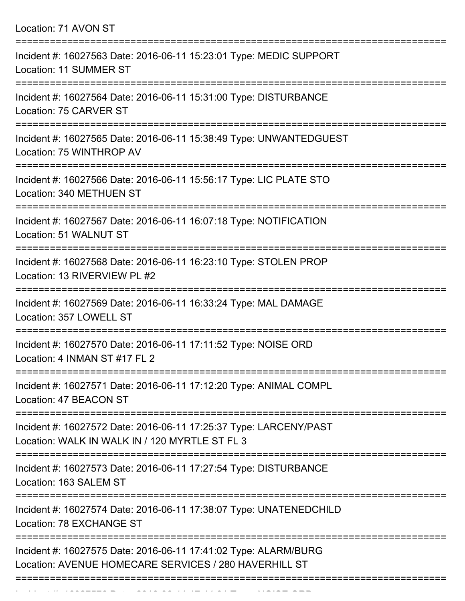| Location: 71 AVON ST |  |  |  |
|----------------------|--|--|--|
|----------------------|--|--|--|

Incident #: 16027576 Date: 2016 06 11 17:44:01 Date: 2016 07:44:01 Type: NOISE ORD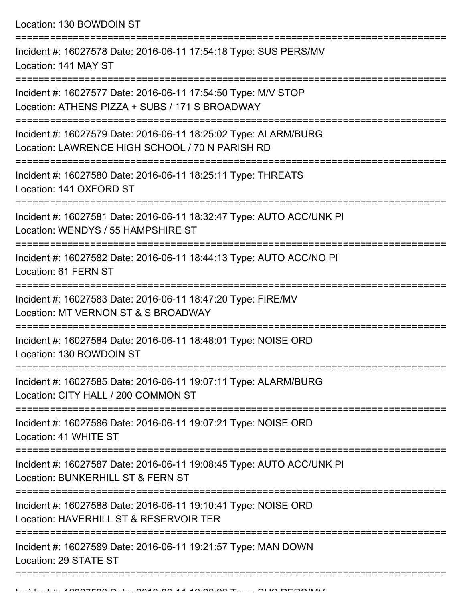Location: 130 BOWDOIN ST

| Incident #: 16027578 Date: 2016-06-11 17:54:18 Type: SUS PERS/MV<br>Location: 141 MAY ST                           |
|--------------------------------------------------------------------------------------------------------------------|
| Incident #: 16027577 Date: 2016-06-11 17:54:50 Type: M/V STOP<br>Location: ATHENS PIZZA + SUBS / 171 S BROADWAY    |
| Incident #: 16027579 Date: 2016-06-11 18:25:02 Type: ALARM/BURG<br>Location: LAWRENCE HIGH SCHOOL / 70 N PARISH RD |
| Incident #: 16027580 Date: 2016-06-11 18:25:11 Type: THREATS<br>Location: 141 OXFORD ST                            |
| Incident #: 16027581 Date: 2016-06-11 18:32:47 Type: AUTO ACC/UNK PI<br>Location: WENDYS / 55 HAMPSHIRE ST         |
| Incident #: 16027582 Date: 2016-06-11 18:44:13 Type: AUTO ACC/NO PI<br>Location: 61 FERN ST                        |
| Incident #: 16027583 Date: 2016-06-11 18:47:20 Type: FIRE/MV<br>Location: MT VERNON ST & S BROADWAY                |
| Incident #: 16027584 Date: 2016-06-11 18:48:01 Type: NOISE ORD<br>Location: 130 BOWDOIN ST                         |
| Incident #: 16027585 Date: 2016-06-11 19:07:11 Type: ALARM/BURG<br>Location: CITY HALL / 200 COMMON ST             |
| Incident #: 16027586 Date: 2016-06-11 19:07:21 Type: NOISE ORD<br>Location: 41 WHITE ST                            |
| Incident #: 16027587 Date: 2016-06-11 19:08:45 Type: AUTO ACC/UNK PI<br>Location: BUNKERHILL ST & FERN ST          |
| Incident #: 16027588 Date: 2016-06-11 19:10:41 Type: NOISE ORD<br>Location: HAVERHILL ST & RESERVOIR TER           |
| Incident #: 16027589 Date: 2016-06-11 19:21:57 Type: MAN DOWN<br>Location: 29 STATE ST                             |
|                                                                                                                    |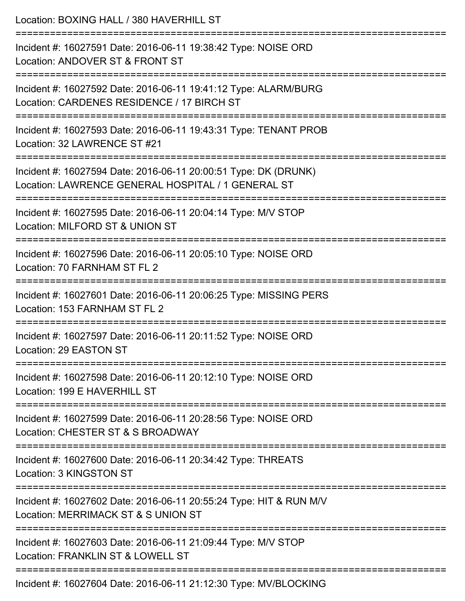| Location: BOXING HALL / 380 HAVERHILL ST<br>=========================<br>==============================               |
|-----------------------------------------------------------------------------------------------------------------------|
| Incident #: 16027591 Date: 2016-06-11 19:38:42 Type: NOISE ORD<br>Location: ANDOVER ST & FRONT ST                     |
| Incident #: 16027592 Date: 2016-06-11 19:41:12 Type: ALARM/BURG<br>Location: CARDENES RESIDENCE / 17 BIRCH ST         |
| Incident #: 16027593 Date: 2016-06-11 19:43:31 Type: TENANT PROB<br>Location: 32 LAWRENCE ST #21                      |
| Incident #: 16027594 Date: 2016-06-11 20:00:51 Type: DK (DRUNK)<br>Location: LAWRENCE GENERAL HOSPITAL / 1 GENERAL ST |
| Incident #: 16027595 Date: 2016-06-11 20:04:14 Type: M/V STOP<br>Location: MILFORD ST & UNION ST                      |
| Incident #: 16027596 Date: 2016-06-11 20:05:10 Type: NOISE ORD<br>Location: 70 FARNHAM ST FL 2                        |
| Incident #: 16027601 Date: 2016-06-11 20:06:25 Type: MISSING PERS<br>Location: 153 FARNHAM ST FL 2                    |
| Incident #: 16027597 Date: 2016-06-11 20:11:52 Type: NOISE ORD<br>Location: 29 EASTON ST                              |
| Incident #: 16027598 Date: 2016-06-11 20:12:10 Type: NOISE ORD<br>Location: 199 E HAVERHILL ST                        |
| Incident #: 16027599 Date: 2016-06-11 20:28:56 Type: NOISE ORD<br>Location: CHESTER ST & S BROADWAY                   |
| Incident #: 16027600 Date: 2016-06-11 20:34:42 Type: THREATS<br>Location: 3 KINGSTON ST                               |
| Incident #: 16027602 Date: 2016-06-11 20:55:24 Type: HIT & RUN M/V<br>Location: MERRIMACK ST & S UNION ST             |
| Incident #: 16027603 Date: 2016-06-11 21:09:44 Type: M/V STOP<br>Location: FRANKLIN ST & LOWELL ST                    |
| Incident #: 16027604 Date: 2016-06-11 21:12:30 Type: MV/BLOCKING                                                      |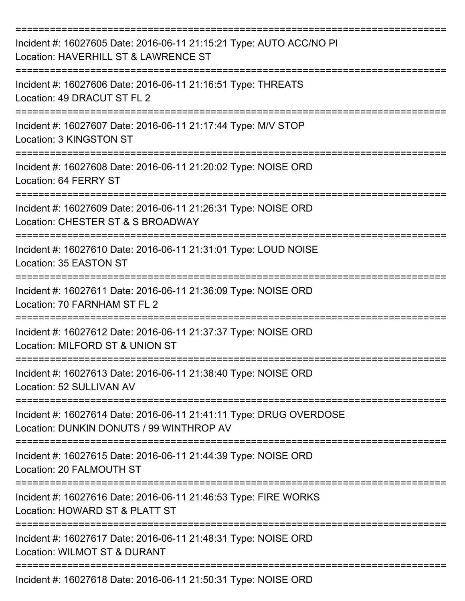| Incident #: 16027605 Date: 2016-06-11 21:15:21 Type: AUTO ACC/NO PI<br>Location: HAVERHILL ST & LAWRENCE ST    |
|----------------------------------------------------------------------------------------------------------------|
| Incident #: 16027606 Date: 2016-06-11 21:16:51 Type: THREATS<br>Location: 49 DRACUT ST FL 2                    |
| Incident #: 16027607 Date: 2016-06-11 21:17:44 Type: M/V STOP<br>Location: 3 KINGSTON ST                       |
| Incident #: 16027608 Date: 2016-06-11 21:20:02 Type: NOISE ORD<br>Location: 64 FERRY ST                        |
| Incident #: 16027609 Date: 2016-06-11 21:26:31 Type: NOISE ORD<br>Location: CHESTER ST & S BROADWAY            |
| Incident #: 16027610 Date: 2016-06-11 21:31:01 Type: LOUD NOISE<br>Location: 35 EASTON ST                      |
| Incident #: 16027611 Date: 2016-06-11 21:36:09 Type: NOISE ORD<br>Location: 70 FARNHAM ST FL 2<br>========     |
| Incident #: 16027612 Date: 2016-06-11 21:37:37 Type: NOISE ORD<br>Location: MILFORD ST & UNION ST              |
| Incident #: 16027613 Date: 2016-06-11 21:38:40 Type: NOISE ORD<br>Location: 52 SULLIVAN AV                     |
| Incident #: 16027614 Date: 2016-06-11 21:41:11 Type: DRUG OVERDOSE<br>Location: DUNKIN DONUTS / 99 WINTHROP AV |
| Incident #: 16027615 Date: 2016-06-11 21:44:39 Type: NOISE ORD<br>Location: 20 FALMOUTH ST                     |
| Incident #: 16027616 Date: 2016-06-11 21:46:53 Type: FIRE WORKS<br>Location: HOWARD ST & PLATT ST              |
| Incident #: 16027617 Date: 2016-06-11 21:48:31 Type: NOISE ORD<br>Location: WILMOT ST & DURANT                 |
| Incident #: 16027618 Date: 2016-06-11 21:50:31 Type: NOISE ORD                                                 |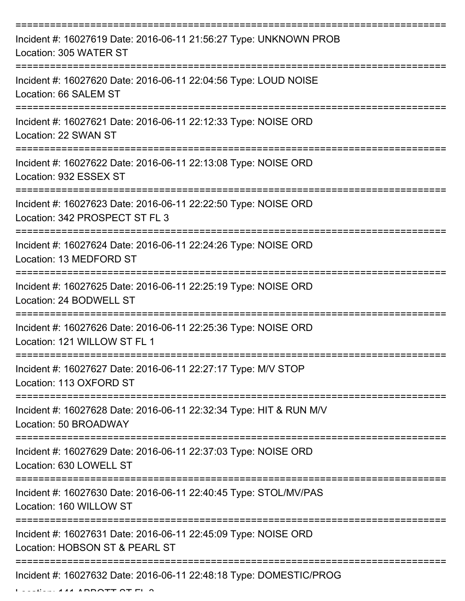| Incident #: 16027619 Date: 2016-06-11 21:56:27 Type: UNKNOWN PROB<br>Location: 305 WATER ST                        |
|--------------------------------------------------------------------------------------------------------------------|
| Incident #: 16027620 Date: 2016-06-11 22:04:56 Type: LOUD NOISE<br>Location: 66 SALEM ST                           |
| Incident #: 16027621 Date: 2016-06-11 22:12:33 Type: NOISE ORD<br>Location: 22 SWAN ST                             |
| Incident #: 16027622 Date: 2016-06-11 22:13:08 Type: NOISE ORD<br>Location: 932 ESSEX ST                           |
| Incident #: 16027623 Date: 2016-06-11 22:22:50 Type: NOISE ORD<br>Location: 342 PROSPECT ST FL 3<br>:============= |
| Incident #: 16027624 Date: 2016-06-11 22:24:26 Type: NOISE ORD<br>Location: 13 MEDFORD ST                          |
| Incident #: 16027625 Date: 2016-06-11 22:25:19 Type: NOISE ORD<br>Location: 24 BODWELL ST                          |
| Incident #: 16027626 Date: 2016-06-11 22:25:36 Type: NOISE ORD<br>Location: 121 WILLOW ST FL 1                     |
| Incident #: 16027627 Date: 2016-06-11 22:27:17 Type: M/V STOP<br>Location: 113 OXFORD ST                           |
| Incident #: 16027628 Date: 2016-06-11 22:32:34 Type: HIT & RUN M/V<br>Location: 50 BROADWAY                        |
| Incident #: 16027629 Date: 2016-06-11 22:37:03 Type: NOISE ORD<br>Location: 630 LOWELL ST                          |
| Incident #: 16027630 Date: 2016-06-11 22:40:45 Type: STOL/MV/PAS<br>Location: 160 WILLOW ST                        |
| Incident #: 16027631 Date: 2016-06-11 22:45:09 Type: NOISE ORD<br>Location: HOBSON ST & PEARL ST                   |
| Incident #: 16027632 Date: 2016-06-11 22:48:18 Type: DOMESTIC/PROG                                                 |

 $L_{\text{L}}$   $\sim$  141 ABBOTT OT FL 3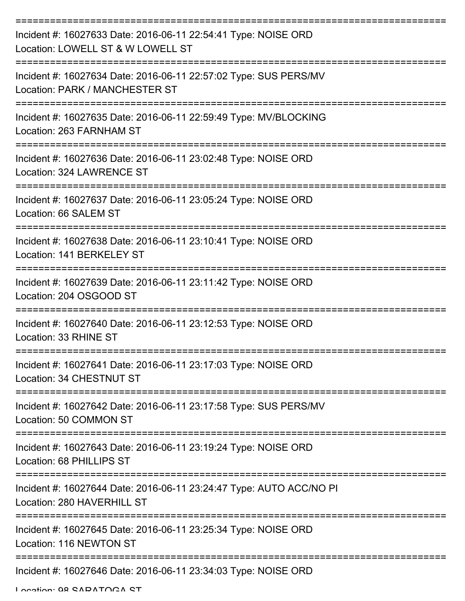| Incident #: 16027633 Date: 2016-06-11 22:54:41 Type: NOISE ORD<br>Location: LOWELL ST & W LOWELL ST |
|-----------------------------------------------------------------------------------------------------|
| Incident #: 16027634 Date: 2016-06-11 22:57:02 Type: SUS PERS/MV<br>Location: PARK / MANCHESTER ST  |
| Incident #: 16027635 Date: 2016-06-11 22:59:49 Type: MV/BLOCKING<br>Location: 263 FARNHAM ST        |
| Incident #: 16027636 Date: 2016-06-11 23:02:48 Type: NOISE ORD<br>Location: 324 LAWRENCE ST         |
| Incident #: 16027637 Date: 2016-06-11 23:05:24 Type: NOISE ORD<br>Location: 66 SALEM ST             |
| Incident #: 16027638 Date: 2016-06-11 23:10:41 Type: NOISE ORD<br>Location: 141 BERKELEY ST         |
| Incident #: 16027639 Date: 2016-06-11 23:11:42 Type: NOISE ORD<br>Location: 204 OSGOOD ST           |
| Incident #: 16027640 Date: 2016-06-11 23:12:53 Type: NOISE ORD<br>Location: 33 RHINE ST             |
| Incident #: 16027641 Date: 2016-06-11 23:17:03 Type: NOISE ORD<br>Location: 34 CHESTNUT ST          |
| Incident #: 16027642 Date: 2016-06-11 23:17:58 Type: SUS PERS/MV<br>Location: 50 COMMON ST          |
| Incident #: 16027643 Date: 2016-06-11 23:19:24 Type: NOISE ORD<br>Location: 68 PHILLIPS ST          |
| Incident #: 16027644 Date: 2016-06-11 23:24:47 Type: AUTO ACC/NO PI<br>Location: 280 HAVERHILL ST   |
| Incident #: 16027645 Date: 2016-06-11 23:25:34 Type: NOISE ORD<br>Location: 116 NEWTON ST           |
| Incident #: 16027646 Date: 2016-06-11 23:34:03 Type: NOISE ORD                                      |

Location: 98 SARATOGA ST